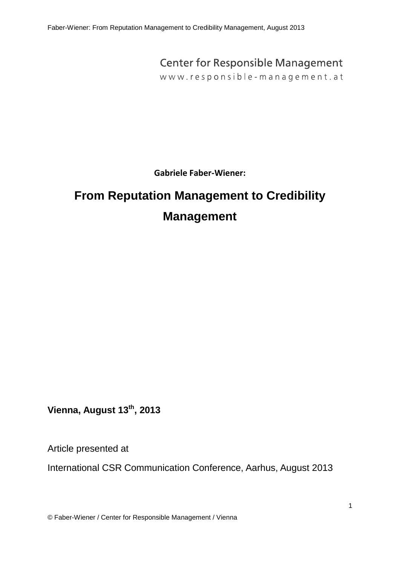Faber-Wiener: From Reputation Management to Credibility Management, August 2013

# **Center for Responsible Management**

www.responsible-management.at

**Gabriele Faber-Wiener:**

# <span id="page-0-0"></span>**From Reputation Management to Credibility Management**

**Vienna, August 13th, 2013**

Article presented at

International CSR Communication Conference, Aarhus, August 2013

© Faber-Wiener / Center for Responsible Management / Vienna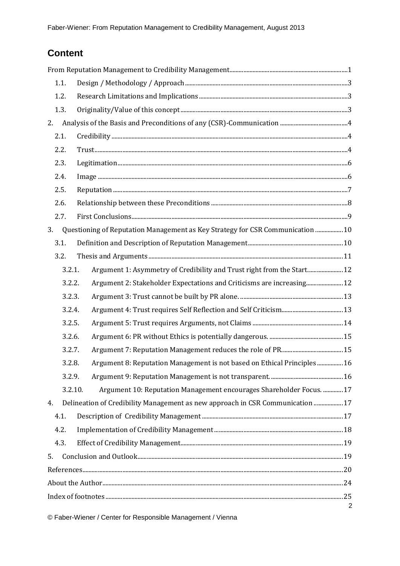# **Content**

| 1.1.   |                                                                                 |                |  |  |  |
|--------|---------------------------------------------------------------------------------|----------------|--|--|--|
| 1.2.   |                                                                                 |                |  |  |  |
| 1.3.   |                                                                                 |                |  |  |  |
| 2.     |                                                                                 |                |  |  |  |
| 2.1.   |                                                                                 |                |  |  |  |
| 2.2.   |                                                                                 |                |  |  |  |
| 2.3.   |                                                                                 |                |  |  |  |
| 2.4.   |                                                                                 |                |  |  |  |
| 2.5.   |                                                                                 |                |  |  |  |
| 2.6.   |                                                                                 |                |  |  |  |
| 2.7.   |                                                                                 |                |  |  |  |
| 3.     | Questioning of Reputation Management as Key Strategy for CSR Communication  10  |                |  |  |  |
| 3.1.   |                                                                                 |                |  |  |  |
| 3.2.   |                                                                                 |                |  |  |  |
| 3.2.1. | Argument 1: Asymmetry of Credibility and Trust right from the Start 12          |                |  |  |  |
| 3.2.2. | Argument 2: Stakeholder Expectations and Criticisms are increasing 12           |                |  |  |  |
| 3.2.3. |                                                                                 |                |  |  |  |
| 3.2.4. |                                                                                 |                |  |  |  |
| 3.2.5. |                                                                                 |                |  |  |  |
| 3.2.6. |                                                                                 |                |  |  |  |
| 3.2.7. |                                                                                 |                |  |  |  |
| 3.2.8. | Argument 8: Reputation Management is not based on Ethical Principles 16         |                |  |  |  |
| 3.2.9. |                                                                                 |                |  |  |  |
|        | 3.2.10.<br>Argument 10: Reputation Management encourages Shareholder Focus.  17 |                |  |  |  |
| 4.     | Delineation of Credibility Management as new approach in CSR Communication  17  |                |  |  |  |
| 4.1.   |                                                                                 |                |  |  |  |
| 4.2.   |                                                                                 |                |  |  |  |
| 4.3.   |                                                                                 |                |  |  |  |
| 5.     |                                                                                 |                |  |  |  |
|        |                                                                                 |                |  |  |  |
|        |                                                                                 |                |  |  |  |
|        |                                                                                 | $\overline{2}$ |  |  |  |

© Faber-Wiener / Center for Responsible Management / Vienna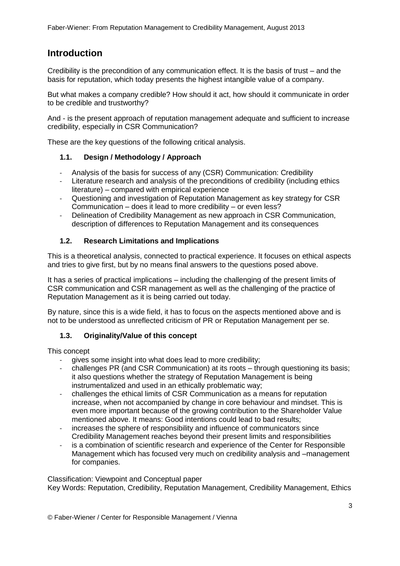# **Introduction**

Credibility is the precondition of any communication effect. It is the basis of trust – and the basis for reputation, which today presents the highest intangible value of a company.

But what makes a company credible? How should it act, how should it communicate in order to be credible and trustworthy?

And - is the present approach of reputation management adequate and sufficient to increase credibility, especially in CSR Communication?

These are the key questions of the following critical analysis.

#### <span id="page-2-0"></span>**1.1. Design / Methodology / Approach**

- Analysis of the basis for success of any (CSR) Communication: Credibility
- Literature research and analysis of the preconditions of credibility (including ethics literature) – compared with empirical experience
- Questioning and investigation of Reputation Management as key strategy for CSR Communication – does it lead to more credibility – or even less?
- Delineation of Credibility Management as new approach in CSR Communication, description of differences to Reputation Management and its consequences

#### <span id="page-2-1"></span>**1.2. Research Limitations and Implications**

This is a theoretical analysis, connected to practical experience. It focuses on ethical aspects and tries to give first, but by no means final answers to the questions posed above.

It has a series of practical implications – including the challenging of the present limits of CSR communication and CSR management as well as the challenging of the practice of Reputation Management as it is being carried out today.

By nature, since this is a wide field, it has to focus on the aspects mentioned above and is not to be understood as unreflected criticism of PR or Reputation Management per se.

#### <span id="page-2-2"></span>**1.3. Originality/Value of this concept**

This concept

- gives some insight into what does lead to more credibility;
- challenges PR (and CSR Communication) at its roots through questioning its basis; it also questions whether the strategy of Reputation Management is being instrumentalized and used in an ethically problematic way;
- challenges the ethical limits of CSR Communication as a means for reputation increase, when not accompanied by change in core behaviour and mindset. This is even more important because of the growing contribution to the Shareholder Value mentioned above. It means: Good intentions could lead to bad results;
- increases the sphere of responsibility and influence of communicators since Credibility Management reaches beyond their present limits and responsibilities
- is a combination of scientific research and experience of the Center for Responsible Management which has focused very much on credibility analysis and –management for companies.

Classification: Viewpoint and Conceptual paper

Key Words: Reputation, Credibility, Reputation Management, Credibility Management, Ethics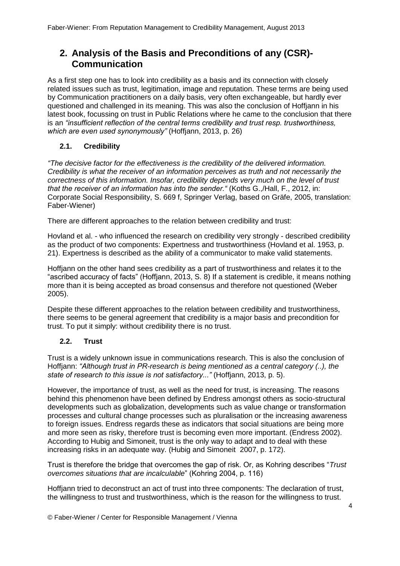# <span id="page-3-0"></span>**2. Analysis of the Basis and Preconditions of any (CSR)- Communication**

As a first step one has to look into credibility as a basis and its connection with closely related issues such as trust, legitimation, image and reputation. These terms are being used by Communication practitioners on a daily basis, very often exchangeable, but hardly ever questioned and challenged in its meaning. This was also the conclusion of Hoffjann in his latest book, focussing on trust in Public Relations where he came to the conclusion that there is an *"insufficient reflection of the central terms credibility and trust resp. trustworthiness, which are even used synonymously"* (Hoffjann, 2013, p. 26)

#### <span id="page-3-1"></span>**2.1. Credibility**

*"The decisive factor for the effectiveness is the credibility of the delivered information. Credibility is what the receiver of an information perceives as truth and not necessarily the correctness of this information. Insofar, credibility depends very much on the level of trust that the receiver of an information has into the sender."* (Koths G.,/Hall, F., 2012, in: Corporate Social Responsibility, S. 669 f, Springer Verlag, based on Gräfe, 2005, translation: Faber-Wiener)

There are different approaches to the relation between credibility and trust:

Hovland et al. - who influenced the research on credibility very strongly - described credibility as the product of two components: Expertness and trustworthiness (Hovland et al. 1953, p. 21). Expertness is described as the ability of a communicator to make valid statements.

Hoffjann on the other hand sees credibility as a part of trustworthiness and relates it to the "ascribed accuracy of facts" (Hoffjann, 2013, S. 8) If a statement is credible, it means nothing more than it is being accepted as broad consensus and therefore not questioned (Weber 2005).

Despite these different approaches to the relation between credibility and trustworthiness, there seems to be general agreement that credibility is a major basis and precondition for trust. To put it simply: without credibility there is no trust.

#### <span id="page-3-2"></span>**2.2. Trust**

Trust is a widely unknown issue in communications research. This is also the conclusion of Hoffjann: *"Although trust in PR-research is being mentioned as a central category (..), the state of research to this issue is not satisfactory..."* (Hoffjann, 2013, p. 5).

However, the importance of trust, as well as the need for trust, is increasing. The reasons behind this phenomenon have been defined by Endress amongst others as socio-structural developments such as globalization, developments such as value change or transformation processes and cultural change processes such as pluralisation or the increasing awareness to foreign issues. Endress regards these as indicators that social situations are being more and more seen as risky, therefore trust is becoming even more important. (Endress 2002). According to Hubig and Simoneit, trust is the only way to adapt and to deal with these increasing risks in an adequate way. (Hubig and Simoneit 2007, p. 172).

Trust is therefore the bridge that overcomes the gap of risk. Or, as Kohring describes "*Trust overcomes situations that are incalculable*" (Kohring 2004, p. 116)

Hoffjann tried to deconstruct an act of trust into three components: The declaration of trust, the willingness to trust and trustworthiness, which is the reason for the willingness to trust.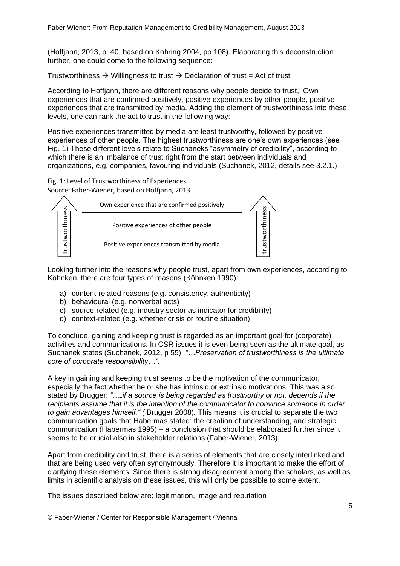(Hoffjann, 2013, p. 40, based on Kohring 2004, pp 108). Elaborating this deconstruction further, one could come to the following sequence:

Trustworthiness  $\rightarrow$  Willingness to trust  $\rightarrow$  Declaration of trust = Act of trust

According to Hoffjann, there are different reasons why people decide to trust,: Own experiences that are confirmed positively, positive experiences by other people, positive experiences that are transmitted by media. Adding the element of trustworthiness into these levels, one can rank the act to trust in the following way:

Positive experiences transmitted by media are least trustworthy, followed by positive experiences of other people. The highest trustworthiness are one's own experiences (see Fig. 1) These different levels relate to Suchaneks "asymmetry of credibility", according to which there is an imbalance of trust right from the start between individuals and organizations, e.g. companies, favouring individuals (Suchanek, 2012, details see 3.2.1.)

#### Fig. 1: Level of Trustworthiness of Experiences

Source: Faber-Wiener, based on Hoffjann, 2013



Looking further into the reasons why people trust, apart from own experiences, according to Köhnken, there are four types of reasons (Köhnken 1990):

- a) content-related reasons (e.g. consistency, authenticity)
- b) behavioural (e.g. nonverbal acts)
- c) source-related (e.g. industry sector as indicator for credibility)
- d) context-related (e.g. whether crisis or routine situation)

To conclude, gaining and keeping trust is regarded as an important goal for (corporate) activities and communications. In CSR issues it is even being seen as the ultimate goal, as Suchanek states (Suchanek, 2012, p 55): *"…Preservation of trustworthiness is the ultimate core of corporate responsibility…".* 

A key in gaining and keeping trust seems to be the motivation of the communicator, especially the fact whether he or she has intrinsic or extrinsic motivations. This was also stated by Brugger: *"…"if a source is being regarded as trustworthy or not, depends if the recipients assume that it is the intention of the communicator to convince someone in order to gain advantages himself." (* Brugger 2008)*.* This means it is crucial to separate the two communication goals that Habermas stated: the creation of understanding, and strategic communication (Habermas 1995) – a conclusion that should be elaborated further since it seems to be crucial also in stakeholder relations (Faber-Wiener, 2013).

Apart from credibility and trust, there is a series of elements that are closely interlinked and that are being used very often synonymously. Therefore it is important to make the effort of clarifying these elements. Since there is strong disagreement among the scholars, as well as limits in scientific analysis on these issues, this will only be possible to some extent.

The issues described below are: legitimation, image and reputation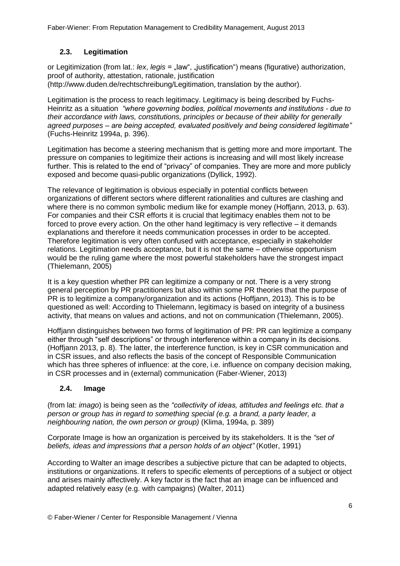### <span id="page-5-0"></span>**2.3. Legitimation**

or Legitimization (from lat.: *lex*, *legis* = "law", "justification") means (figurative) authorization, proof of authority, attestation, rationale, justification (http://www.duden.de/rechtschreibung/Legitimation, translation by the author).

Legitimation is the process to reach legitimacy. Legitimacy is being described by Fuchs-Heinritz as a situation *"where governing bodies, political movements and institutions - due to their accordance with laws, constitutions, principles or because of their ability for generally agreed purposes – are being accepted, evaluated positively and being considered legitimate"* (Fuchs-Heinritz 1994a, p. 396).

Legitimation has become a steering mechanism that is getting more and more important. The pressure on companies to legitimize their actions is increasing and will most likely increase further. This is related to the end of "privacy" of companies. They are more and more publicly exposed and become quasi-public organizations (Dyllick, 1992).

The relevance of legitimation is obvious especially in potential conflicts between organizations of different sectors where different rationalities and cultures are clashing and where there is no common symbolic medium like for example money (Hoffjann, 2013, p. 63). For companies and their CSR efforts it is crucial that legitimacy enables them not to be forced to prove every action. On the other hand legitimacy is very reflective – it demands explanations and therefore it needs communication processes in order to be accepted. Therefore legitimation is very often confused with acceptance, especially in stakeholder relations. Legitimation needs acceptance, but it is not the same – otherwise opportunism would be the ruling game where the most powerful stakeholders have the strongest impact (Thielemann, 2005)

It is a key question whether PR can legitimize a company or not. There is a very strong general perception by PR practitioners but also within some PR theories that the purpose of PR is to legitimize a company/organization and its actions (Hoffjann, 2013). This is to be questioned as well: According to Thielemann, legitimacy is based on integrity of a business activity, that means on values and actions, and not on communication (Thielemann, 2005).

Hoffjann distinguishes between two forms of legitimation of PR: PR can legitimize a company either through "self descriptions" or through interference within a company in its decisions. (Hoffjann 2013, p. 8). The latter, the interference function, is key in CSR communication and in CSR issues, and also reflects the basis of the concept of Responsible Communication which has three spheres of influence: at the core, i.e. influence on company decision making, in CSR processes and in (external) communication (Faber-Wiener, 2013)

### <span id="page-5-1"></span>**2.4. Image**

(from lat: *imago*) is being seen as the *"collectivity of ideas, attitudes and feelings etc. that a person or group has in regard to something special (e.g. a brand, a party leader, a neighbouring nation, the own person or group)* (Klima, 1994a, p. 389)

Corporate Image is how an organization is perceived by its stakeholders. It is the *"set of beliefs, ideas and impressions that a person holds of an object"* (Kotler, 1991)

According to Walter an image describes a subjective picture that can be adapted to objects, institutions or organizations. It refers to specific elements of perceptions of a subject or object and arises mainly affectively. A key factor is the fact that an image can be influenced and adapted relatively easy (e.g. with campaigns) (Walter, 2011)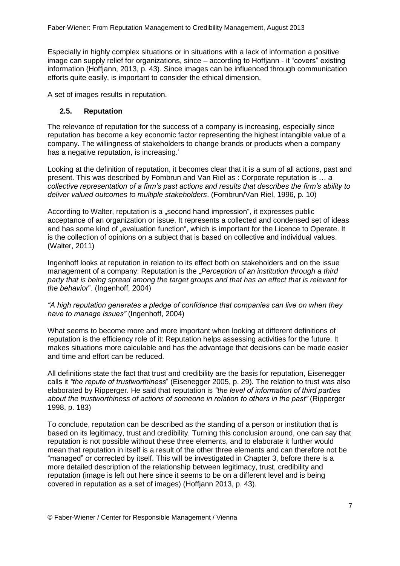Especially in highly complex situations or in situations with a lack of information a positive image can supply relief for organizations, since – according to Hoffjann - it "covers" existing information (Hoffjann, 2013, p. 43). Since images can be influenced through communication efforts quite easily, is important to consider the ethical dimension.

A set of images results in reputation.

#### <span id="page-6-0"></span>**2.5. Reputation**

The relevance of reputation for the success of a company is increasing, especially since reputation has become a key economic factor representing the highest intangible value of a company. The willingness of stakeholders to change brands or products when a company has a negative reputation, is increasing.<sup>i</sup>

Looking at the definition of reputation, it becomes clear that it is a sum of all actions, past and present. This was described by Fombrun and Van Riel as : Corporate reputation is … *a collective representation of a firm's past actions and results that describes the firm's ability to deliver valued outcomes to multiple stakeholders*. (Fombrun/Van Riel, 1996, p. 10)

According to Walter, reputation is a "second hand impression", it expresses public acceptance of an organization or issue. It represents a collected and condensed set of ideas and has some kind of "evaluation function", which is important for the Licence to Operate. It is the collection of opinions on a subject that is based on collective and individual values. (Walter, 2011)

Ingenhoff looks at reputation in relation to its effect both on stakeholders and on the issue management of a company: Reputation is the *"Perception of an institution through a third party that is being spread among the target groups and that has an effect that is relevant for the behavior*". (Ingenhoff, 2004)

*"A high reputation generates a pledge of confidence that companies can live on when they have to manage issues"* (Ingenhoff, 2004)

What seems to become more and more important when looking at different definitions of reputation is the efficiency role of it: Reputation helps assessing activities for the future. It makes situations more calculable and has the advantage that decisions can be made easier and time and effort can be reduced.

All definitions state the fact that trust and credibility are the basis for reputation, Eisenegger calls it *"the repute of trustworthiness*" (Eisenegger 2005, p. 29). The relation to trust was also elaborated by Ripperger. He said that reputation is *"the level of information of third parties about the trustworthiness of actions of someone in relation to others in the past"* (Ripperger 1998, p. 183)

To conclude, reputation can be described as the standing of a person or institution that is based on its legitimacy, trust and credibility. Turning this conclusion around, one can say that reputation is not possible without these three elements, and to elaborate it further would mean that reputation in itself is a result of the other three elements and can therefore not be "managed" or corrected by itself. This will be investigated in Chapter 3, before there is a more detailed description of the relationship between legitimacy, trust, credibility and reputation (image is left out here since it seems to be on a different level and is being covered in reputation as a set of images) (Hoffjann 2013, p. 43).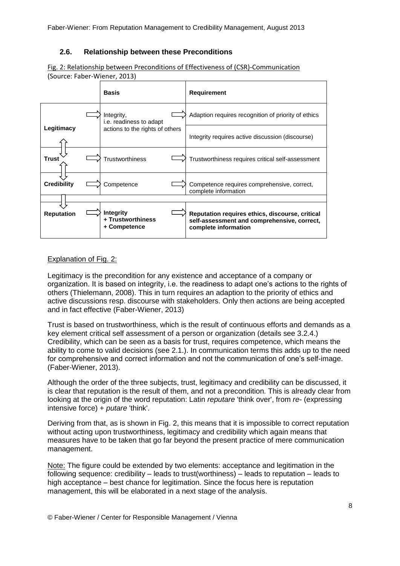#### <span id="page-7-0"></span>**2.6. Relationship between these Preconditions**

Fig. 2: Relationship between Preconditions of Effectiveness of (CSR)-Communication (Source: Faber-Wiener, 2013)

|                    | <b>Basis</b>                                 | Requirement                                                                                                            |
|--------------------|----------------------------------------------|------------------------------------------------------------------------------------------------------------------------|
|                    | Integrity,<br><i>i.e.</i> readiness to adapt | Adaption requires recognition of priority of ethics                                                                    |
| Legitimacy         | actions to the rights of others              | Integrity requires active discussion (discourse)                                                                       |
| Trust              | <b>Trustworthiness</b>                       | Trustworthiness requires critical self-assessment                                                                      |
| <b>Credibility</b> | Competence                                   | Competence requires comprehensive, correct,<br>complete information                                                    |
|                    | <b>Integrity</b>                             |                                                                                                                        |
| <b>Reputation</b>  | + Trustworthiness<br>+ Competence            | Reputation requires ethics, discourse, critical<br>self-assessment and comprehensive, correct,<br>complete information |

#### Explanation of Fig. 2:

Legitimacy is the precondition for any existence and acceptance of a company or organization. It is based on integrity, i.e. the readiness to adapt one's actions to the rights of others (Thielemann, 2008). This in turn requires an adaption to the priority of ethics and active discussions resp. discourse with stakeholders. Only then actions are being accepted and in fact effective (Faber-Wiener, 2013)

Trust is based on trustworthiness, which is the result of continuous efforts and demands as a key element critical self assessment of a person or organization (details see 3.2.4.) Credibility, which can be seen as a basis for trust, requires competence, which means the ability to come to valid decisions (see 2.1.). In communication terms this adds up to the need for comprehensive and correct information and not the communication of one's self-image. (Faber-Wiener, 2013).

Although the order of the three subjects, trust, legitimacy and credibility can be discussed, it is clear that reputation is the result of them, and not a precondition. This is already clear from looking at the origin of the word reputation: Latin *reputare* 'think over', from *re-* (expressing intensive force) + *putare* 'think'.

Deriving from that, as is shown in Fig. 2, this means that it is impossible to correct reputation without acting upon trustworthiness, legitimacy and credibility which again means that measures have to be taken that go far beyond the present practice of mere communication management.

Note: The figure could be extended by two elements: acceptance and legitimation in the following sequence: credibility – leads to trust(worthiness) – leads to reputation – leads to high acceptance – best chance for legitimation. Since the focus here is reputation management, this will be elaborated in a next stage of the analysis.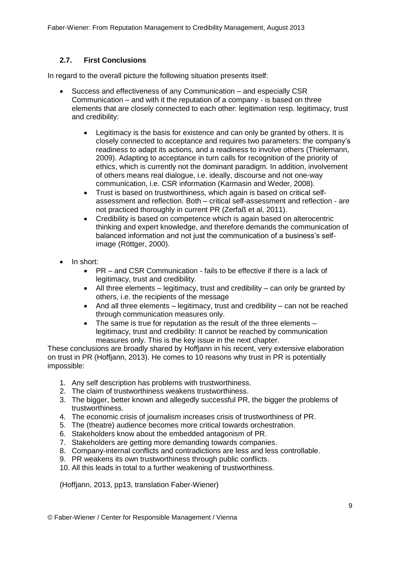#### <span id="page-8-0"></span>**2.7. First Conclusions**

In regard to the overall picture the following situation presents itself:

- Success and effectiveness of any Communication and especially CSR Communication – and with it the reputation of a company - is based on three elements that are closely connected to each other: legitimation resp. legitimacy, trust and credibility:
	- Legitimacy is the basis for existence and can only be granted by others. It is closely connected to acceptance and requires two parameters: the company's readiness to adapt its actions, and a readiness to involve others (Thielemann, 2009). Adapting to acceptance in turn calls for recognition of the priority of ethics, which is currently not the dominant paradigm. In addition, involvement of others means real dialogue, i.e. ideally, discourse and not one-way communication, i.e. CSR information (Karmasin and Weder, 2008).
	- Trust is based on trustworthiness, which again is based on critical selfassessment and reflection. Both – critical self-assessment and reflection - are not practiced thoroughly in current PR (Zerfaß et al, 2011).
	- Credibility is based on competence which is again based on alterocentric thinking and expert knowledge, and therefore demands the communication of balanced information and not just the communication of a business's selfimage (Röttger, 2000).
- In short:
	- PR and CSR Communication fails to be effective if there is a lack of legitimacy, trust and credibility.
	- $\bullet$  All three elements legitimacy, trust and credibility can only be granted by others, i.e. the recipients of the message
	- And all three elements  $-$  legitimacy, trust and credibility  $-$  can not be reached through communication measures only.
	- The same is true for reputation as the result of the three elements legitimacy, trust and credibility: It cannot be reached by communication measures only. This is the key issue in the next chapter.

These conclusions are broadly shared by Hoffjann in his recent, very extensive elaboration on trust in PR (Hoffjann, 2013). He comes to 10 reasons why trust in PR is potentially impossible:

- 1. Any self description has problems with trustworthiness.
- 2. The claim of trustworthiness weakens trustworthiness.
- 3. The bigger, better known and allegedly successful PR, the bigger the problems of trustworthiness.
- 4. The economic crisis of journalism increases crisis of trustworthiness of PR.
- 5. The (theatre) audience becomes more critical towards orchestration.
- 6. Stakeholders know about the embedded antagonism of PR.
- 7. Stakeholders are getting more demanding towards companies.
- 8. Company-internal conflicts and contradictions are less and less controllable.
- 9. PR weakens its own trustworthiness through public conflicts.
- 10. All this leads in total to a further weakening of trustworthiness.

(Hoffjann, 2013, pp13, translation Faber-Wiener)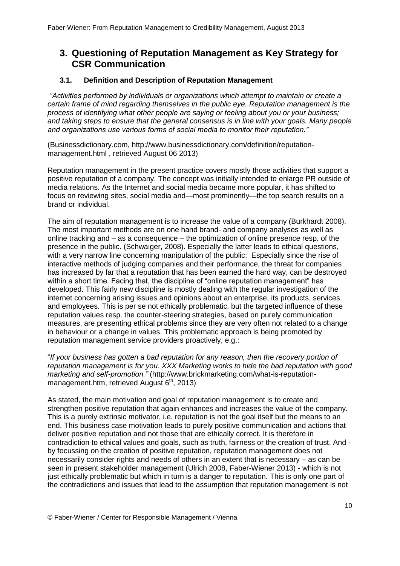# <span id="page-9-0"></span>**3. Questioning of Reputation Management as Key Strategy for CSR Communication**

#### <span id="page-9-1"></span>**3.1. Definition and Description of Reputation Management**

*"Activities performed by individuals or organizations which attempt to maintain or create a certain frame of mind regarding themselves in the public eye. Reputation management is the process of identifying what other people are saying or feeling about you or your business; and taking steps to ensure that the general consensus is in line with your goals. Many people and organizations use various forms of social media to monitor their reputation."*

(Businessdictionary.com, http://www.businessdictionary.com/definition/reputationmanagement.html , retrieved August 06 2013)

Reputation management in the present practice covers mostly those activities that support a positive reputation of a company. The concept was initially intended to enlarge PR outside of media relations. As the Internet and social media became more popular, it has shifted to focus on reviewing sites, social media and—most prominently—the top search results on a brand or individual.

The aim of reputation management is to increase the value of a company (Burkhardt 2008). The most important methods are on one hand brand- and company analyses as well as online tracking and – as a consequence – the optimization of online presence resp. of the presence in the public. (Schwaiger, 2008). Especially the latter leads to ethical questions, with a very narrow line concerning manipulation of the public: Especially since the rise of interactive methods of judging companies and their performance, the threat for companies has increased by far that a reputation that has been earned the hard way, can be destroyed within a short time. Facing that, the discipline of "online reputation management" has developed. This fairly new discipline is mostly dealing with the regular investigation of the internet concerning arising issues and opinions about an enterprise, its products, services and employees. This is per se not ethically problematic, but the targeted influence of these reputation values resp. the counter-steering strategies, based on purely communication measures, are presenting ethical problems since they are very often not related to a change in behaviour or a change in values. This problematic approach is being promoted by reputation management service providers proactively, e.g.:

"*If your business has gotten a bad reputation for any reason, then the recovery portion of reputation management is for you. XXX Marketing works to hide the bad reputation with good marketing and self-promotion."* (http://www.brickmarketing.com/what-is-reputationmanagement.htm, retrieved August  $6<sup>th</sup>$ , 2013)

As stated, the main motivation and goal of reputation management is to create and strengthen positive reputation that again enhances and increases the value of the company. This is a purely extrinsic motivator, i.e. reputation is not the goal itself but the means to an end. This business case motivation leads to purely positive communication and actions that deliver positive reputation and not those that are ethically correct. It is therefore in contradiction to ethical values and goals, such as truth, fairness or the creation of trust. And by focussing on the creation of positive reputation, reputation management does not necessarily consider rights and needs of others in an extent that is necessary – as can be seen in present stakeholder management (Ulrich 2008, Faber-Wiener 2013) - which is not just ethically problematic but which in turn is a danger to reputation. This is only one part of the contradictions and issues that lead to the assumption that reputation management is not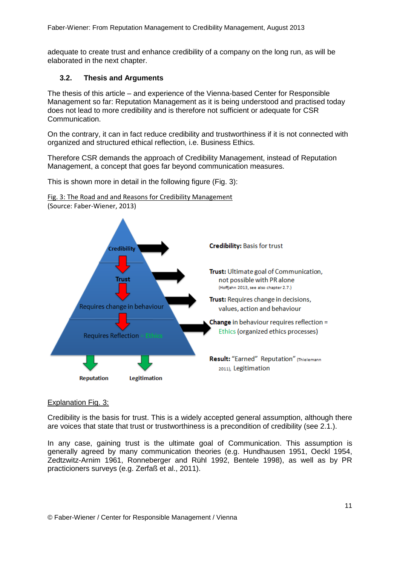Faber-Wiener: From Reputation Management to Credibility Management, August 2013

adequate to create trust and enhance credibility of a company on the long run, as will be elaborated in the next chapter.

#### <span id="page-10-0"></span>**3.2. Thesis and Arguments**

The thesis of this article – and experience of the Vienna-based Center for Responsible Management so far: Reputation Management as it is being understood and practised today does not lead to more credibility and is therefore not sufficient or adequate for CSR Communication.

On the contrary, it can in fact reduce credibility and trustworthiness if it is not connected with organized and structured ethical reflection, i.e. Business Ethics.

Therefore CSR demands the approach of Credibility Management, instead of Reputation Management, a concept that goes far beyond communication measures.

This is shown more in detail in the following figure (Fig. 3):





#### Explanation Fig. 3:

Credibility is the basis for trust. This is a widely accepted general assumption, although there are voices that state that trust or trustworthiness is a precondition of credibility (see 2.1.).

In any case, gaining trust is the ultimate goal of Communication. This assumption is generally agreed by many communication theories (e.g. Hundhausen 1951, Oeckl 1954, Zedtzwitz-Arnim 1961, Ronneberger and Rühl 1992, Bentele 1998), as well as by PR practicioners surveys (e.g. Zerfaß et al., 2011).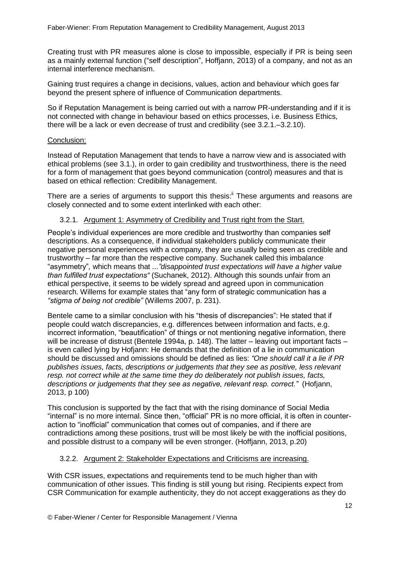Creating trust with PR measures alone is close to impossible, especially if PR is being seen as a mainly external function ("self description", Hoffjann, 2013) of a company, and not as an internal interference mechanism.

Gaining trust requires a change in decisions, values, action and behaviour which goes far beyond the present sphere of influence of Communication departments.

So if Reputation Management is being carried out with a narrow PR-understanding and if it is not connected with change in behaviour based on ethics processes, i.e. Business Ethics, there will be a lack or even decrease of trust and credibility (see 3.2.1.–3.2.10).

#### Conclusion:

Instead of Reputation Management that tends to have a narrow view and is associated with ethical problems (see 3.1.), in order to gain credibility and trustworthiness, there is the need for a form of management that goes beyond communication (control) measures and that is based on ethical reflection: Credibility Management.

There are a series of arguments to support this thesis:<sup>ii</sup> These arguments and reasons are closely connected and to some extent interlinked with each other:

#### 3.2.1. Argument 1: Asymmetry of Credibility and Trust right from the Start.

<span id="page-11-0"></span>People's individual experiences are more credible and trustworthy than companies self descriptions. As a consequence, if individual stakeholders publicly communicate their negative personal experiences with a company, they are usually being seen as credible and trustworthy – far more than the respective company. Suchanek called this imbalance "asymmetry"*,* which means that *..."disappointed trust expectations will have a higher value than fulfilled trust expectations"* (Suchanek, 2012). Although this sounds unfair from an ethical perspective, it seems to be widely spread and agreed upon in communication research. Willems for example states that "any form of strategic communication has a *"stigma of being not credible"* (Willems 2007, p. 231).

Bentele came to a similar conclusion with his "thesis of discrepancies": He stated that if people could watch discrepancies, e.g. differences between information and facts, e.g. incorrect information, "beautification" of things or not mentioning negative information, there will be increase of distrust (Bentele 1994a, p. 148). The latter – leaving out important facts – is even called lying by Hofjann: He demands that the definition of a lie in communication should be discussed and omissions should be defined as lies: *"One should call it a lie if PR publishes issues, facts, descriptions or judgements that they see as positive, less relevant resp. not correct while at the same time they do deliberately not publish issues, facts, descriptions or judgements that they see as negative, relevant resp. correct."* (Hofjann, 2013, p 100)

This conclusion is supported by the fact that with the rising dominance of Social Media "internal" is no more internal. Since then, "official" PR is no more official, it is often in counteraction to "inofficial" communication that comes out of companies, and if there are contradictions among these positions, trust will be most likely be with the inofficial positions, and possible distrust to a company will be even stronger. (Hoffjann, 2013, p.20)

#### <span id="page-11-1"></span>3.2.2. Argument 2: Stakeholder Expectations and Criticisms are increasing.

With CSR issues, expectations and requirements tend to be much higher than with communication of other issues. This finding is still young but rising. Recipients expect from CSR Communication for example authenticity, they do not accept exaggerations as they do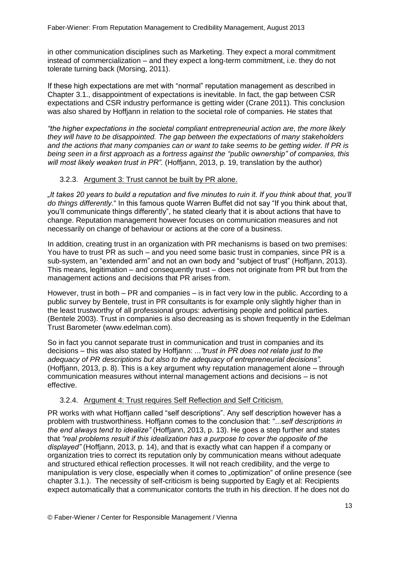in other communication disciplines such as Marketing. They expect a moral commitment instead of commercialization – and they expect a long-term commitment, i.e. they do not tolerate turning back (Morsing, 2011).

If these high expectations are met with "normal" reputation management as described in Chapter 3.1., disappointment of expectations is inevitable. In fact, the gap between CSR expectations and CSR industry performance is getting wider (Crane 2011). This conclusion was also shared by Hoffjann in relation to the societal role of companies. He states that

*"the higher expectations in the societal compliant entrepreneurial action are, the more likely they will have to be disappointed. The gap between the expectations of many stakeholders and the actions that many companies can or want to take seems to be getting wider. If PR is being seen in a first approach as a fortress against the "public ownership" of companies, this will most likely weaken trust in PR".* (Hoffjann, 2013, p. 19, translation by the author)

#### <span id="page-12-0"></span>3.2.3. Argument 3: Trust cannot be built by PR alone.

*"It takes 20 years to build a reputation and five minutes to ruin it. If you think about that, you'll do things differently.*" In this famous quote Warren Buffet did not say "If you think about that, you'll communicate things differently", he stated clearly that it is about actions that have to change. Reputation management however focuses on communication measures and not necessarily on change of behaviour or actions at the core of a business.

In addition, creating trust in an organization with PR mechanisms is based on two premises: You have to trust PR as such – and you need some basic trust in companies, since PR is a sub-system, an "extended arm" and not an own body and "subject of trust" (Hoffjann, 2013). This means, legitimation – and consequently trust – does not originate from PR but from the management actions and decisions that PR arises from.

However, trust in both – PR and companies – is in fact very low in the public. According to a public survey by Bentele, trust in PR consultants is for example only slightly higher than in the least trustworthy of all professional groups: advertising people and political parties. (Bentele 2003). Trust in companies is also decreasing as is shown frequently in the Edelman Trust Barometer (www.edelman.com).

So in fact you cannot separate trust in communication and trust in companies and its decisions – this was also stated by Hoffjann: *..."trust in PR does not relate just to the adequacy of PR descriptions but also to the adequacy of entrepreneurial decisions".* (Hoffjann, 2013, p. 8). This is a key argument why reputation management alone – through communication measures without internal management actions and decisions – is not effective.

#### 3.2.4. Argument 4: Trust requires Self Reflection and Self Criticism.

<span id="page-12-1"></span>PR works with what Hoffjann called "self descriptions". Any self description however has a problem with trustworthiness. Hoffjann comes to the conclusion that: "...s*elf descriptions in the end always tend to idealize"* (Hoffjann, 2013, p. 13). He goes a step further and states that *"real problems result if this idealization has a purpose to cover the opposite of the displayed"* (Hoffjann, 2013, p. 14), and that is exactly what can happen if a company or organization tries to correct its reputation only by communication means without adequate and structured ethical reflection processes. It will not reach credibility, and the verge to manipulation is very close, especially when it comes to "optimization" of online presence (see chapter 3.1.). The necessity of self-criticism is being supported by Eagly et al: Recipients expect automatically that a communicator contorts the truth in his direction. If he does not do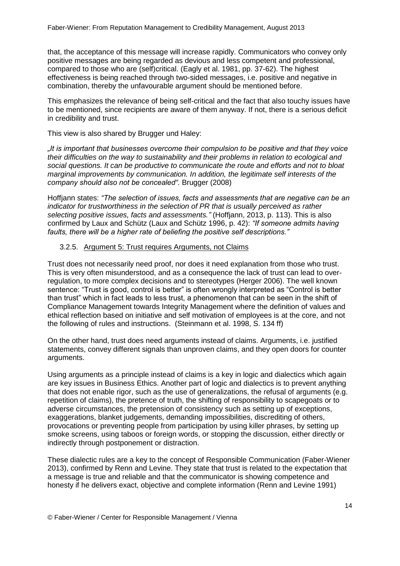that, the acceptance of this message will increase rapidly. Communicators who convey only positive messages are being regarded as devious and less competent and professional, compared to those who are (self)critical. (Eagly et al. 1981, pp. 37-62). The highest effectiveness is being reached through two-sided messages, i.e. positive and negative in combination, thereby the unfavourable argument should be mentioned before.

This emphasizes the relevance of being self-critical and the fact that also touchy issues have to be mentioned, since recipients are aware of them anyway. If not, there is a serious deficit in credibility and trust.

This view is also shared by Brugger und Haley:

*"It is important that businesses overcome their compulsion to be positive and that they voice their difficulties on the way to sustainability and their problems in relation to ecological and social questions. It can be productive to communicate the route and efforts and not to bloat marginal improvements by communication. In addition, the legitimate self interests of the company should also not be concealed".* Brugger (2008)

Hoffjann states: *"The selection of issues, facts and assessments that are negative can be an indicator for trustworthiness in the selection of PR that is usually perceived as rather selecting positive issues, facts and assessments."* (Hoffjann, 2013, p. 113). This is also confirmed by Laux and Schütz (Laux and Schütz 1996, p. 42): *"If someone admits having faults, there will be a higher rate of beliefing the positive self descriptions."*

#### <span id="page-13-0"></span>3.2.5. Argument 5: Trust requires Arguments, not Claims

Trust does not necessarily need proof, nor does it need explanation from those who trust. This is very often misunderstood, and as a consequence the lack of trust can lead to overregulation, to more complex decisions and to stereotypes (Herger 2006). The well known sentence: "Trust is good, control is better" is often wrongly interpreted as "Control is better than trust" which in fact leads to less trust, a phenomenon that can be seen in the shift of Compliance Management towards Integrity Management where the definition of values and ethical reflection based on initiative and self motivation of employees is at the core, and not the following of rules and instructions. (Steinmann et al. 1998, S. 134 ff)

On the other hand, trust does need arguments instead of claims. Arguments, i.e. justified statements, convey different signals than unproven claims, and they open doors for counter arguments.

Using arguments as a principle instead of claims is a key in logic and dialectics which again are key issues in Business Ethics. Another part of logic and dialectics is to prevent anything that does not enable rigor, such as the use of generalizations, the refusal of arguments (e.g. repetition of claims), the pretence of truth, the shifting of responsibility to scapegoats or to adverse circumstances, the pretension of consistency such as setting up of exceptions, exaggerations, blanket judgements, demanding impossibilities, discrediting of others, provocations or preventing people from participation by using killer phrases, by setting up smoke screens, using taboos or foreign words, or stopping the discussion, either directly or indirectly through postponement or distraction.

These dialectic rules are a key to the concept of Responsible Communication (Faber-Wiener 2013), confirmed by Renn and Levine. They state that trust is related to the expectation that a message is true and reliable and that the communicator is showing competence and honesty if he delivers exact, objective and complete information (Renn and Levine 1991)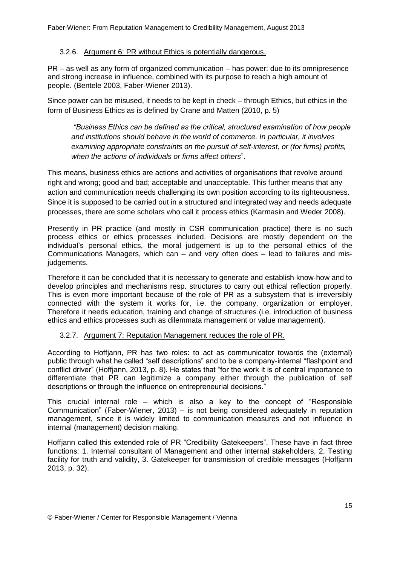#### <span id="page-14-0"></span>3.2.6. Argument 6: PR without Ethics is potentially dangerous.

PR – as well as any form of organized communication – has power: due to its omnipresence and strong increase in influence, combined with its purpose to reach a high amount of people. (Bentele 2003, Faber-Wiener 2013).

Since power can be misused, it needs to be kept in check – through Ethics, but ethics in the form of Business Ethics as is defined by Crane and Matten (2010, p. 5)

*"Business Ethics can be defined as the critical, structured examination of how people and institutions should behave in the world of commerce. In particular, it involves examining appropriate constraints on the pursuit of self-interest, or (for firms) profits, when the actions of individuals or firms affect others*".

This means, business ethics are actions and activities of organisations that revolve around right and wrong; good and bad; acceptable and unacceptable. This further means that any action and communication needs challenging its own position according to its righteousness. Since it is supposed to be carried out in a structured and integrated way and needs adequate processes, there are some scholars who call it process ethics (Karmasin and Weder 2008).

Presently in PR practice (and mostly in CSR communication practice) there is no such process ethics or ethics processes included. Decisions are mostly dependent on the individual's personal ethics, the moral judgement is up to the personal ethics of the Communications Managers, which can – and very often does – lead to failures and misjudgements.

Therefore it can be concluded that it is necessary to generate and establish know-how and to develop principles and mechanisms resp. structures to carry out ethical reflection properly. This is even more important because of the role of PR as a subsystem that is irreversibly connected with the system it works for, i.e. the company, organization or employer. Therefore it needs education, training and change of structures (i.e. introduction of business ethics and ethics processes such as dilemmata management or value management).

#### <span id="page-14-1"></span>3.2.7. Argument 7: Reputation Management reduces the role of PR.

According to Hoffjann, PR has two roles: to act as communicator towards the (external) public through what he called "self descriptions" and to be a company-internal "flashpoint and conflict driver" (Hoffjann, 2013, p. 8). He states that "for the work it is of central importance to differentiate that PR can legitimize a company either through the publication of self descriptions or through the influence on entrepreneurial decisions."

This crucial internal role – which is also a key to the concept of "Responsible" Communication" (Faber-Wiener, 2013) – is not being considered adequately in reputation management, since it is widely limited to communication measures and not influence in internal (management) decision making.

Hoffjann called this extended role of PR "Credibility Gatekeepers". These have in fact three functions: 1. Internal consultant of Management and other internal stakeholders, 2. Testing facility for truth and validity, 3. Gatekeeper for transmission of credible messages (Hoffjann 2013, p. 32).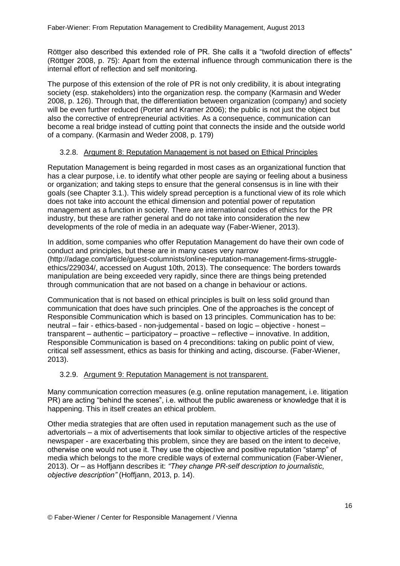Röttger also described this extended role of PR. She calls it a "twofold direction of effects" (Röttger 2008, p. 75): Apart from the external influence through communication there is the internal effort of reflection and self monitoring.

The purpose of this extension of the role of PR is not only credibility, it is about integrating society (esp. stakeholders) into the organization resp. the company (Karmasin and Weder 2008, p. 126). Through that, the differentiation between organization (company) and society will be even further reduced (Porter and Kramer 2006); the public is not just the object but also the corrective of entrepreneurial activities. As a consequence, communication can become a real bridge instead of cutting point that connects the inside and the outside world of a company. (Karmasin and Weder 2008, p. 179)

#### <span id="page-15-0"></span>3.2.8. Argument 8: Reputation Management is not based on Ethical Principles

Reputation Management is being regarded in most cases as an organizational function that has a clear purpose, i.e. to identify what other people are saying or feeling about a business or organization; and taking steps to ensure that the general consensus is in line with their goals (see Chapter 3.1.). This widely spread perception is a functional view of its role which does not take into account the ethical dimension and potential power of reputation management as a function in society. There are international codes of ethics for the PR industry, but these are rather general and do not take into consideration the new developments of the role of media in an adequate way (Faber-Wiener, 2013).

In addition, some companies who offer Reputation Management do have their own code of conduct and principles, but these are in many cases very narrow [\(http://adage.com/article/guest-columnists/online-reputation-management-firms-struggle](http://adage.com/article/guest-columnists/online-reputation-management-firms-struggle-ethics/229034/)[ethics/229034/,](http://adage.com/article/guest-columnists/online-reputation-management-firms-struggle-ethics/229034/) accessed on August 10th, 2013). The consequence: The borders towards manipulation are being exceeded very rapidly, since there are things being pretended through communication that are not based on a change in behaviour or actions.

Communication that is not based on ethical principles is built on less solid ground than communication that does have such principles. One of the approaches is the concept of Responsible Communication which is based on 13 principles. Communication has to be: neutral – fair - ethics-based - non-judgemental - based on logic – objective - honest – transparent – authentic – participatory – proactive – reflective – innovative. In addition, Responsible Communication is based on 4 preconditions: taking on public point of view, critical self assessment, ethics as basis for thinking and acting, discourse. (Faber-Wiener, 2013).

#### <span id="page-15-1"></span>3.2.9. Argument 9: Reputation Management is not transparent.

Many communication correction measures (e.g. online reputation management, i.e. litigation PR) are acting "behind the scenes", i.e. without the public awareness or knowledge that it is happening. This in itself creates an ethical problem.

Other media strategies that are often used in reputation management such as the use of advertorials – a mix of advertisements that look similar to objective articles of the respective newspaper - are exacerbating this problem, since they are based on the intent to deceive, otherwise one would not use it. They use the objective and positive reputation "stamp" of media which belongs to the more credible ways of external communication (Faber-Wiener, 2013). Or – as Hoffjann describes it: *"They change PR-self description to journalistic, objective description"* (Hoffjann, 2013, p. 14).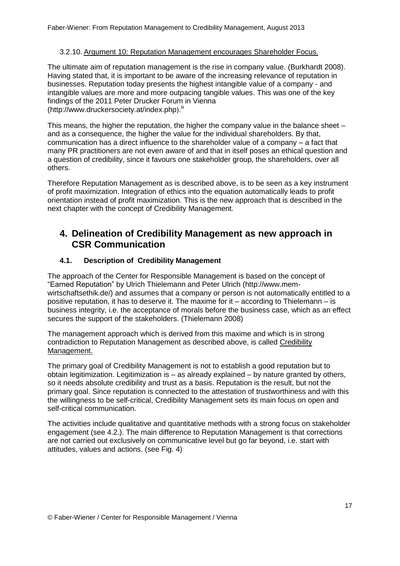#### <span id="page-16-0"></span>3.2.10. Argument 10: Reputation Management encourages Shareholder Focus.

The ultimate aim of reputation management is the rise in company value. (Burkhardt 2008). Having stated that, it is important to be aware of the increasing relevance of reputation in businesses. Reputation today presents the highest intangible value of a company - and intangible values are more and more outpacing tangible values. This was one of the key findings of the 2011 Peter Drucker Forum in Vienna [\(http://www.druckersociety.at/index.php](http://www.druckersociety.at/index.php)).<sup>iii</sup>

This means, the higher the reputation, the higher the company value in the balance sheet – and as a consequence, the higher the value for the individual shareholders. By that, communication has a direct influence to the shareholder value of a company – a fact that many PR practitioners are not even aware of and that in itself poses an ethical question and a question of credibility, since it favours one stakeholder group, the shareholders, over all others.

Therefore Reputation Management as is described above, is to be seen as a key instrument of profit maximization. Integration of ethics into the equation automatically leads to profit orientation instead of profit maximization. This is the new approach that is described in the next chapter with the concept of Credibility Management.

## <span id="page-16-1"></span>**4. Delineation of Credibility Management as new approach in CSR Communication**

#### <span id="page-16-2"></span>**4.1. Description of Credibility Management**

The approach of the Center for Responsible Management is based on the concept of "Earned Reputation" by Ulrich Thielemann and Peter Ulrich [\(http://www.mem](http://www.mem-wirtschaftsethik.de/)[wirtschaftsethik.de/\)](http://www.mem-wirtschaftsethik.de/) and assumes that a company or person is not automatically entitled to a positive reputation, it has to deserve it. The maxime for it – according to Thielemann – is business integrity, i.e. the acceptance of morals before the business case, which as an effect secures the support of the stakeholders. (Thielemann 2008)

The management approach which is derived from this maxime and which is in strong contradiction to Reputation Management as described above, is called Credibility Management.

The primary goal of Credibility Management is not to establish a good reputation but to obtain legitimization. Legitimization is – as already explained – by nature granted by others, so it needs absolute credibility and trust as a basis. Reputation is the result, but not the primary goal. Since reputation is connected to the attestation of trustworthiness and with this the willingness to be self-critical, Credibility Management sets its main focus on open and self-critical communication.

The activities include qualitative and quantitative methods with a strong focus on stakeholder engagement (see 4.2.). The main difference to Reputation Management is that corrections are not carried out exclusively on communicative level but go far beyond, i.e. start with attitudes, values and actions. (see Fig. 4)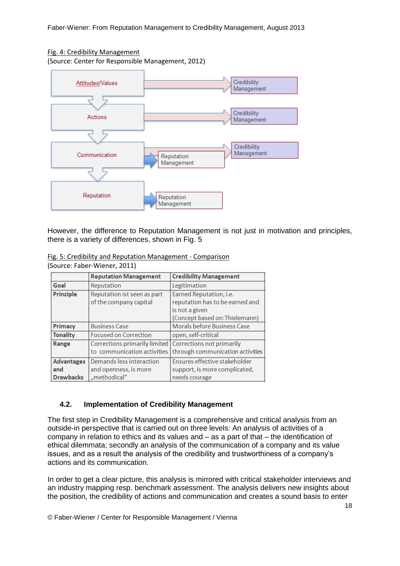#### Fig. 4: Credibility Management

(Source: Center for Responsible Management, 2012)



However, the difference to Reputation Management is not just in motivation and principles, there is a variety of differences, shown in Fig. 5

|  | Fig. 5: Credibility and Reputation Management - Comparison |                               |
|--|------------------------------------------------------------|-------------------------------|
|  | (Source: Faber-Wiener, 2011)                               |                               |
|  | <b>Reputation Management</b>                               | <b>Credibility Management</b> |
|  |                                                            |                               |

|                   | <b>Reputation Management</b>  | <b>Credibility Management</b>    |
|-------------------|-------------------------------|----------------------------------|
| Goal              | Reputation                    | Legitimation                     |
| Prinziple         | Reputation ist seen as part   | Earned Reputation, i.e.          |
|                   | of the company capital        | reputation has to be earned and  |
|                   |                               | is not a given                   |
|                   |                               | (Concept based on: Thielemann)   |
| Primacy           | <b>Business Case</b>          | Morals before Business Case      |
| <b>Tonality</b>   | <b>Focused on Correction</b>  | open, self-critical              |
| Range             | Corrections primarily limited | <b>Corrections not primarily</b> |
|                   | to communication activities   | through communication activities |
| <b>Advantages</b> | Demands less interaction      | Ensures effective stakeholder    |
| and               | and openness, is more         | support, is more complicated,    |
| <b>Drawbacks</b>  | "methodical"                  | needs courage                    |

#### <span id="page-17-0"></span>**4.2. Implementation of Credibility Management**

The first step in Credibility Management is a comprehensive and critical analysis from an outside-in perspective that is carried out on three levels: An analysis of activities of a company in relation to ethics and its values and – as a part of that – the identification of ethical dilemmata; secondly an analysis of the communication of a company and its value issues, and as a result the analysis of the credibility and trustworthiness of a company's actions and its communication.

In order to get a clear picture, this analysis is mirrored with critical stakeholder interviews and an industry mapping resp. benchmark assessment. The analysis delivers new insights about the position, the credibility of actions and communication and creates a sound basis to enter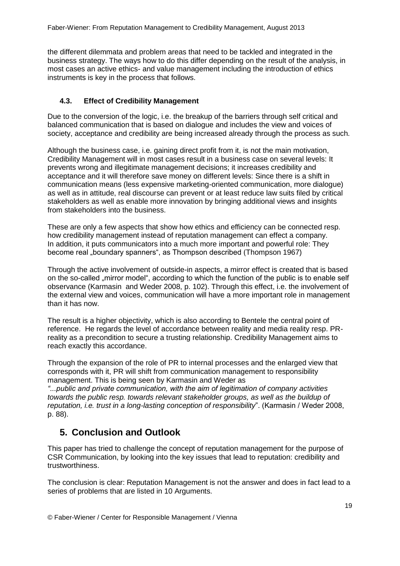the different dilemmata and problem areas that need to be tackled and integrated in the business strategy. The ways how to do this differ depending on the result of the analysis, in most cases an active ethics- and value management including the introduction of ethics instruments is key in the process that follows.

#### <span id="page-18-0"></span>**4.3. Effect of Credibility Management**

Due to the conversion of the logic, i.e. the breakup of the barriers through self critical and balanced communication that is based on dialogue and includes the view and voices of society, acceptance and credibility are being increased already through the process as such.

Although the business case, i.e. gaining direct profit from it, is not the main motivation, Credibility Management will in most cases result in a business case on several levels: It prevents wrong and illegitimate management decisions; it increases credibility and acceptance and it will therefore save money on different levels: Since there is a shift in communication means (less expensive marketing-oriented communication, more dialogue) as well as in attitude, real discourse can prevent or at least reduce law suits filed by critical stakeholders as well as enable more innovation by bringing additional views and insights from stakeholders into the business.

These are only a few aspects that show how ethics and efficiency can be connected resp. how credibility management instead of reputation management can effect a company. In addition, it puts communicators into a much more important and powerful role: They become real "boundary spanners", as Thompson described (Thompson 1967)

Through the active involvement of outside-in aspects, a mirror effect is created that is based on the so-called "mirror model", according to which the function of the public is to enable self observance (Karmasin and Weder 2008, p. 102). Through this effect, i.e. the involvement of the external view and voices, communication will have a more important role in management than it has now.

The result is a higher objectivity, which is also according to Bentele the central point of reference. He regards the level of accordance between reality and media reality resp. PRreality as a precondition to secure a trusting relationship. Credibility Management aims to reach exactly this accordance.

Through the expansion of the role of PR to internal processes and the enlarged view that corresponds with it, PR will shift from communication management to responsibility management. This is being seen by Karmasin and Weder as

*"...public and private communication, with the aim of legitimation of company activities towards the public resp. towards relevant stakeholder groups, as well as the buildup of reputation, i.e. trust in a long-lasting conception of responsibility*". (Karmasin / Weder 2008, p. 88).

## <span id="page-18-1"></span>**5. Conclusion and Outlook**

This paper has tried to challenge the concept of reputation management for the purpose of CSR Communication, by looking into the key issues that lead to reputation: credibility and trustworthiness.

The conclusion is clear: Reputation Management is not the answer and does in fact lead to a series of problems that are listed in 10 Arguments.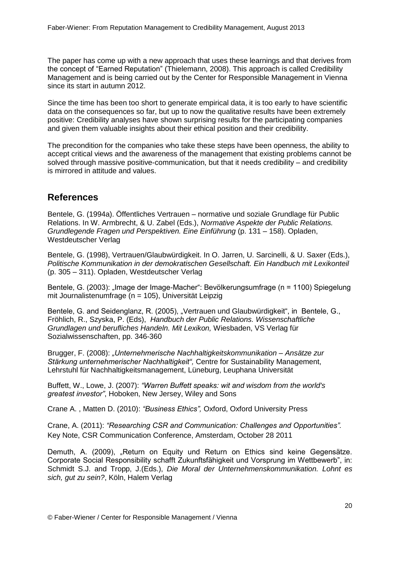The paper has come up with a new approach that uses these learnings and that derives from the concept of "Earned Reputation" (Thielemann, 2008). This approach is called Credibility Management and is being carried out by the Center for Responsible Management in Vienna since its start in autumn 2012.

Since the time has been too short to generate empirical data, it is too early to have scientific data on the consequences so far, but up to now the qualitative results have been extremely positive: Credibility analyses have shown surprising results for the participating companies and given them valuable insights about their ethical position and their credibility.

The precondition for the companies who take these steps have been openness, the ability to accept critical views and the awareness of the management that existing problems cannot be solved through massive positive-communication, but that it needs credibility – and credibility is mirrored in attitude and values.

#### <span id="page-19-0"></span>**References**

Bentele, G. (1994a). Öffentliches Vertrauen – normative und soziale Grundlage für Public Relations. In W. Armbrecht, & U. Zabel (Eds.), *Normative Aspekte der Public Relations. Grundlegende Fragen und Perspektiven. Eine Einführung* (p. 131 – 158). Opladen, Westdeutscher Verlag

Bentele, G. (1998), Vertrauen/Glaubwürdigkeit. In O. Jarren, U. Sarcinelli, & U. Saxer (Eds.), *Politische Kommunikation in der demokratischen Gesellschaft. Ein Handbuch mit Lexikonteil* (p. 305 – 311). Opladen, Westdeutscher Verlag

Bentele, G. (2003): "Image der Image-Macher": Bevölkerungsumfrage (n = 1100) Spiegelung mit Journalistenumfrage (n = 105), Universität Leipzig

Bentele, G. and Seidenglanz, R. (2005), "Vertrauen und Glaubwürdigkeit", in Bentele, G., Fröhlich, R., Szyska, P. (Eds), *Handbuch der Public Relations. Wissenschaftliche Grundlagen und berufliches Handeln. Mit Lexikon,* Wiesbaden, VS Verlag für Sozialwissenschaften, pp. 346-360

Brugger, F. (2008): *"Unternehmerische Nachhaltigkeitskommunikation – Ansätze zur Stärkung unternehmerischer Nachhaltigkeit",* Centre for Sustainability Management, Lehrstuhl für Nachhaltigkeitsmanagement, Lüneburg, Leuphana Universität

Buffett, W., Lowe, J. (2007): *"Warren Buffett speaks: wit and wisdom from the world's greatest investor"*, Hoboken, New Jersey, Wiley and Sons

Crane A. , Matten D. (2010): *"Business Ethics",* Oxford, Oxford University Press

Crane, A. (2011): *"Researching CSR and Communication: Challenges and Opportunities".* Key Note, CSR Communication Conference, Amsterdam, October 28 2011

Demuth, A. (2009), "Return on Equity und Return on Ethics sind keine Gegensätze. Corporate Social Responsibility schafft Zukunftsfähigkeit und Vorsprung im Wettbewerb", in: Schmidt S.J. and Tropp, J.(Eds.), *Die Moral der Unternehmenskommunikation. Lohnt es sich, gut zu sein?*, Köln, Halem Verlag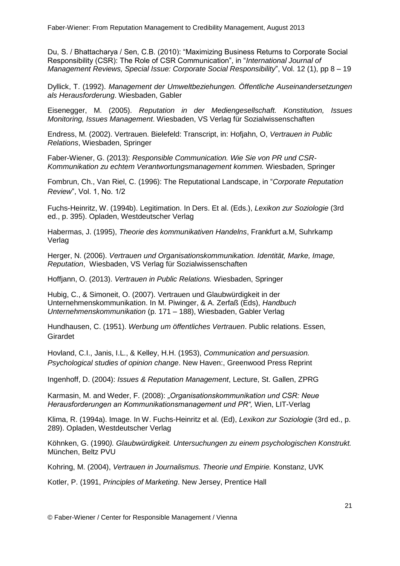Du, S. / Bhattacharya / Sen, C.B. (2010): "Maximizing Business Returns to Corporate Social Responsibility (CSR): The Role of CSR Communication", in "*International Journal of Management Reviews, Special Issue: Corporate Social Responsibility*", [Vol. 12](http://onlinelibrary.wiley.com/doi/10.1111/ijmr.2010.12.issue-1/issuetoc) (1), pp 8 – 19

Dyllick, T. (1992). *Management der Umweltbeziehungen. Öffentliche Auseinandersetzungen als Herausforderung*. Wiesbaden, Gabler

Eisenegger, M. (2005). *Reputation in der Mediengesellschaft. Konstitution, Issues Monitoring, Issues Management*. Wiesbaden, VS Verlag für Sozialwissenschaften

Endress, M. (2002). Vertrauen. Bielefeld: Transcript, in: Hofjahn, O, *Vertrauen in Public Relations*, Wiesbaden, Springer

Faber-Wiener, G. (2013): *Responsible Communication. Wie Sie von PR und CSR-Kommunikation zu echtem Verantwortungsmanagement kommen.* Wiesbaden, Springer

Fombrun, Ch., Van Riel, C. (1996): The Reputational Landscape, in "*Corporate Reputation Review*", Vol. 1, No. 1/2

Fuchs-Heinritz, W. (1994b). Legitimation. In Ders. Et al. (Eds.), *Lexikon zur Soziologie* (3rd ed., p. 395). Opladen, Westdeutscher Verlag

Habermas, J. (1995), *Theorie des kommunikativen Handelns*, Frankfurt a.M, Suhrkamp Verlag

Herger, N. (2006). *Vertrauen und Organisationskommunikation. Identität, Marke, Image, Reputation*, Wiesbaden, VS Verlag für Sozialwissenschaften

Hoffjann, O. (2013). *Vertrauen in Public Relations.* Wiesbaden, Springer

Hubig, C., & Simoneit, O. (2007). Vertrauen und Glaubwürdigkeit in der Unternehmenskommunikation. In M. Piwinger, & A. Zerfaß (Eds), *Handbuch Unternehmenskommunikation* (p. 171 – 188), Wiesbaden, Gabler Verlag

Hundhausen, C. (1951). *Werbung um öffentliches Vertrauen*. Public relations. Essen, Girardet

Hovland, C.I., Janis, I.L., & Kelley, H.H. (1953), *Communication and persuasion. Psychological studies of opinion change*. New Haven:, Greenwood Press Reprint

Ingenhoff, D. (2004): *Issues & Reputation Management*, Lecture, St. Gallen, ZPRG

Karmasin, M. and Weder, F. (2008): *"Organisationskommunikation und CSR: Neue Herausforderungen an Kommunikationsmanagement und PR",* Wien, LIT-Verlag

Klima, R. (1994a). Image. In W. Fuchs-Heinritz et al. (Ed), *Lexikon zur Soziologie* (3rd ed., p. 289). Opladen, Westdeutscher Verlag

Köhnken, G. (1990*). Glaubwürdigkeit. Untersuchungen zu einem psychologischen Konstrukt.* München, Beltz PVU

Kohring, M. (2004), *Vertrauen in Journalismus. Theorie und Empirie.* Konstanz, UVK

Kotler, P. (1991, *Principles of Marketing*. New Jersey, Prentice Hall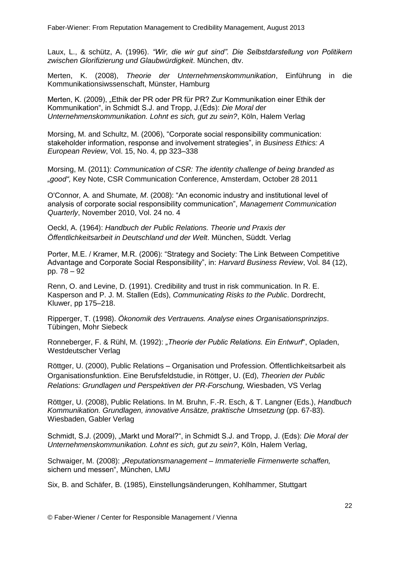Laux, L., & schütz, A. (1996). *"Wir, die wir gut sind". Die Selbstdarstellung von Politikern zwischen Glorifizierung und Glaubwürdigkeit*. München, dtv.

Merten, K. (2008), *Theorie der Unternehmenskommunikation*, Einführung in die Kommunikationsiwssenschaft, Münster, Hamburg

Merten, K. (2009), "Ethik der PR oder PR für PR? Zur Kommunikation einer Ethik der Kommunikation", in Schmidt S.J. and Tropp, J.(Eds): *Die Moral der Unternehmenskommunikation. Lohnt es sich, gut zu sein?*, Köln, Halem Verlag

Morsing, M. and Schultz, M. (2006), "Corporate social responsibility communication: stakeholder information, response and involvement strategies", in *Business Ethics: A European Review*, Vol. 15, No. 4, pp 323–338

Morsing, M. (2011): *Communication of CSR: The identity challenge of being branded as "good",* Key Note, CSR Communication Conference, Amsterdam, October 28 2011

O'Connor*,* A*.* and Shumate*, M*. (2008): "An economic industry and institutional level of analysis of corporate social responsibility communication", *Management Communication Quarterly*, November 2010, Vol. 24 no. 4

Oeckl, A. (1964): *Handbuch der Public Relations. Theorie und Praxis der Öffentlichkeitsarbeit in Deutschland und der Welt*. München, Süddt. Verlag

Porter, M.E. / Kramer, M.R. (2006): "Strategy and Society: The Link Between Competitive Advantage and Corporate Social Responsibility", in: *Harvard Business Review*, Vol. 84 (12), pp. 78 – 92

Renn, O. and Levine, D. (1991). Credibility and trust in risk communication. In R. E. Kasperson and P. J. M. Stallen (Eds), *Communicating Risks to the Public*. Dordrecht, Kluwer, pp 175–218.

Ripperger, T. (1998). *Ökonomik des Vertrauens. Analyse eines Organisationsprinzips*. Tübingen, Mohr Siebeck

Ronneberger, F. & Rühl, M. (1992): *"Theorie der Public Relations. Ein Entwurf*", Opladen, Westdeutscher Verlag

Röttger, U. (2000), Public Relations – Organisation und Profession. Öffentlichkeitsarbeit als Organisationsfunktion. Eine Berufsfeldstudie, in Röttger, U. (Ed), *Theorien der Public Relations: Grundlagen und Perspektiven der PR-Forschung,* Wiesbaden, VS Verlag

Röttger, U. (2008), Public Relations. In M. Bruhn, F.-R. Esch, & T. Langner (Eds.), *Handbuch Kommunikation. Grundlagen, innovative Ansätze, praktische Umsetzung* (pp. 67-83). Wiesbaden, Gabler Verlag

Schmidt, S.J. (2009), "Markt und Moral?", in Schmidt S.J. and Tropp, J. (Eds): *Die Moral der Unternehmenskommunikation. Lohnt es sich, gut zu sein?*, Köln, Halem Verlag,

Schwaiger, M. (2008): *"Reputationsmanagement – Immaterielle Firmenwerte schaffen,*  sichern und messen", München, LMU

Six, B. and Schäfer, B. (1985), Einstellungsänderungen, Kohlhammer, Stuttgart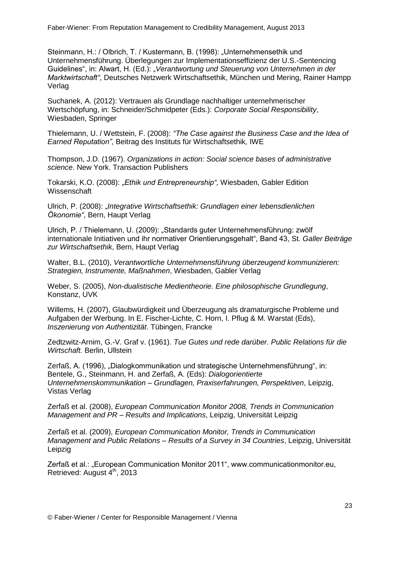Steinmann, H.: / Olbrich, T. / Kustermann, B. (1998): "Unternehmensethik und Unternehmensführung. Überlegungen zur Implementationseffizienz der U.S.-Sentencing Guidelines", in: Alwart, H. (Ed.): "Verantwortung und Steuerung von Unternehmen in der *Marktwirtschaft"*, Deutsches Netzwerk Wirtschaftsethik, München und Mering, Rainer Hampp Verlag

Suchanek, A. (2012): Vertrauen als Grundlage nachhaltiger unternehmerischer Wertschöpfung, in: Schneider/Schmidpeter (Eds.): *Corporate Social Responsibility*, Wiesbaden, Springer

Thielemann, U. / Wettstein, F. (2008): *"The Case against the Business Case and the Idea of Earned Reputation"*, Beitrag des Instituts für Wirtschaftsethik*,* IWE

Thompson, J.D. (1967). *Organizations in action: Social science bases of administrative science*. New York. Transaction Publishers

Tokarski, K.O. (2008): *"Ethik und Entrepreneurship",* Wiesbaden, Gabler Edition Wissenschaft

Ulrich, P. (2008): *"Integrative Wirtschaftsethik: Grundlagen einer lebensdienlichen Ökonomie"*, Bern, Haupt Verlag

Ulrich, P. / Thielemann, U. (2009): "Standards guter Unternehmensführung: zwölf internationale Initiativen und ihr normativer Orientierungsgehalt", Band 43, St*. Galler Beiträge zur Wirtschaftsethik*, Bern, Haupt Verlag

Walter, B.L. (2010), *Verantwortliche Unternehmensführung überzeugend kommunizieren: Strategien, Instrumente, Maßnahmen*, Wiesbaden, Gabler Verlag

Weber, S. (2005), *Non-dualistische Medientheorie. Eine philosophische Grundlegung*, Konstanz, UVK

Willems, H. (2007), Glaubwürdigkeit und Überzeugung als dramaturgische Probleme und Aufgaben der Werbung. In E. Fischer-Lichte, C. Horn, I. Pflug & M. Warstat (Eds), *Inszenierung von Authentizität*. Tübingen, Francke

Zedtzwitz-Arnim, G.-V. Graf v. (1961). *Tue Gutes und rede darüber. Public Relations für die Wirtschaft.* Berlin, Ullstein

Zerfaß, A. (1996), "Dialogkommunikation und strategische Unternehmensführung", in: Bentele, G., Steinmann, H. and Zerfaß, A. (Eds): *Dialogorientierte Unternehmenskommunikation – Grundlagen, Praxiserfahrungen, Perspektiven*, Leipzig, Vistas Verlag

Zerfaß et al. (2008), *European Communication Monitor 2008, Trends in Communication Management and PR – Results and Implications*, Leipzig, Universität Leipzig

Zerfaß et al. (2009), *European Communication Monitor, Trends in Communication Management and Public Relations – Results of a Survey in 34 Countries*, Leipzig, Universität Leipzig

Zerfaß et al.: "European Communication Monitor 2011", www.communicationmonitor.eu, Retrieved: August 4<sup>th</sup>, 2013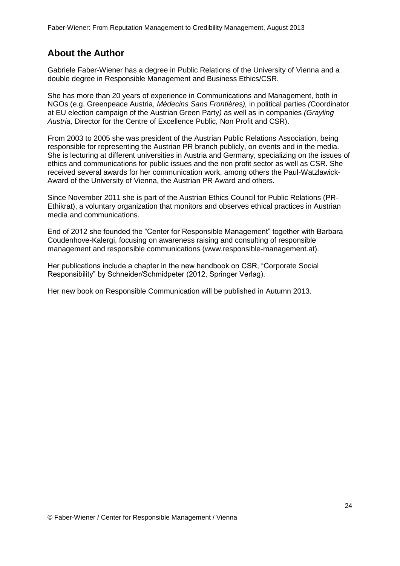# <span id="page-23-0"></span>**About the Author**

Gabriele Faber-Wiener has a degree in Public Relations of the University of Vienna and a double degree in Responsible Management and Business Ethics/CSR.

She has more than 20 years of experience in Communications and Management, both in NGOs (e.g. Greenpeace Austria, *Médecins Sans Frontières),* in political parties *(*Coordinator at EU election campaign of the Austrian Green Party*)* as well as in companies *(Grayling Austria,* Director for the Centre of Excellence Public, Non Profit and CSR).

From 2003 to 2005 she was president of the Austrian Public Relations Association, being responsible for representing the Austrian PR branch publicly, on events and in the media. She is lecturing at different universities in Austria and Germany, specializing on the issues of ethics and communications for public issues and the non profit sector as well as CSR. She received several awards for her communication work, among others the Paul-Watzlawick-Award of the University of Vienna, the Austrian PR Award and others.

Since November 2011 she is part of the Austrian Ethics Council for Public Relations (PR-Ethikrat), a voluntary organization that monitors and observes ethical practices in Austrian media and communications.

End of 2012 she founded the "Center for Responsible Management" together with Barbara Coudenhove-Kalergi, focusing on awareness raising and consulting of responsible management and responsible communications (www.responsible-management.at).

Her publications include a chapter in the new handbook on CSR, "Corporate Social Responsibility" by Schneider/Schmidpeter (2012, Springer Verlag).

Her new book on Responsible Communication will be published in Autumn 2013.